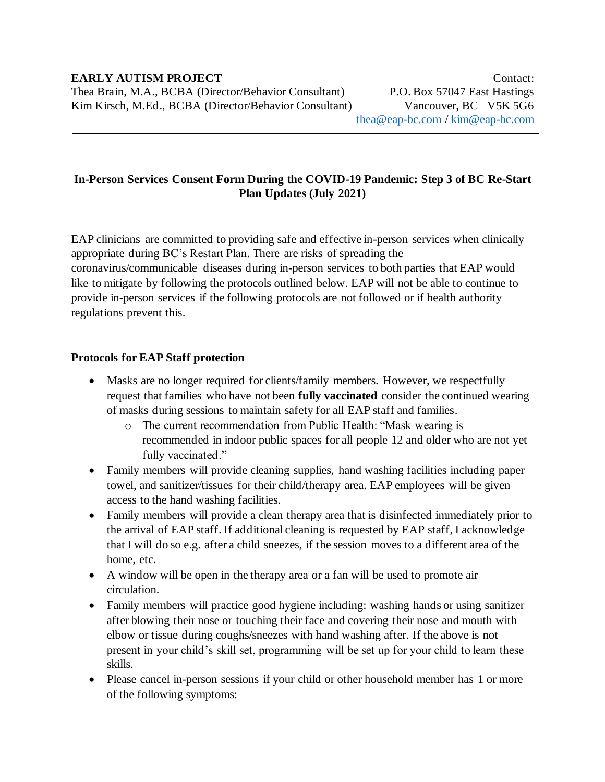## **In-Person Services Consent Form During the COVID-19 Pandemic: Step 3 of BC Re-Start Plan Updates (July 2021)**

EAP clinicians are committed to providing safe and effective in-person services when clinically appropriate during BC's Restart Plan. There are risks of spreading the coronavirus/communicable diseases during in-person services to both parties that EAP would like to mitigate by following the protocols outlined below. EAP will not be able to continue to provide in-person services if the following protocols are not followed or if health authority regulations prevent this.

## **Protocols for EAP Staff protection**

- Masks are no longer required for clients/family members. However, we respectfully request that families who have not been **fully vaccinated** consider the continued wearing of masks during sessions to maintain safety for all EAP staff and families.
	- o The current recommendation from Public Health: "Mask wearing is recommended in indoor public spaces for all people 12 and older who are not yet fully vaccinated."
- Family members will provide cleaning supplies, hand washing facilities including paper towel, and sanitizer/tissues for their child/therapy area. EAP employees will be given access to the hand washing facilities.
- Family members will provide a clean therapy area that is disinfected immediately prior to the arrival of EAP staff. If additional cleaning is requested by EAP staff, I acknowledge that I will do so e.g. after a child sneezes, if the session moves to a different area of the home, etc.
- A window will be open in the therapy area or a fan will be used to promote air circulation.
- Family members will practice good hygiene including: washing hands or using sanitizer after blowing their nose or touching their face and covering their nose and mouth with elbow or tissue during coughs/sneezes with hand washing after. If the above is not present in your child's skill set, programming will be set up for your child to learn these skills.
- Please cancel in-person sessions if your child or other household member has 1 or more of the following symptoms: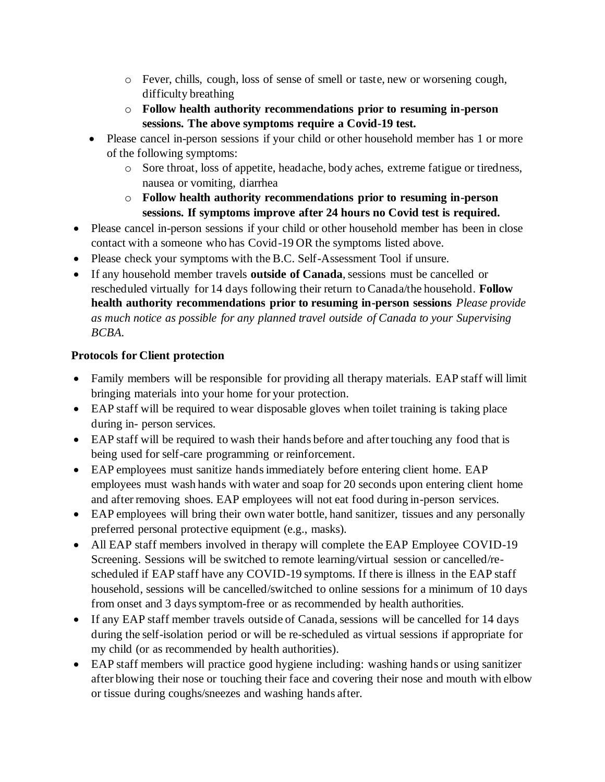- o Fever, chills, cough, loss of sense of smell or taste, new or worsening cough, difficulty breathing
- o **Follow health authority recommendations prior to resuming in-person sessions. The above symptoms require a Covid-19 test.**
- Please cancel in-person sessions if your child or other household member has 1 or more of the following symptoms:
	- o Sore throat, loss of appetite, headache, body aches, extreme fatigue or tiredness, nausea or vomiting, diarrhea
	- o **Follow health authority recommendations prior to resuming in-person sessions. If symptoms improve after 24 hours no Covid test is required.**
- Please cancel in-person sessions if your child or other household member has been in close contact with a someone who has Covid-19 OR the symptoms listed above.
- Please check your symptoms with the B.C. Self-Assessment Tool if unsure.
- If any household member travels **outside of Canada**, sessions must be cancelled or rescheduled virtually for 14 days following their return to Canada/the household. **Follow health authority recommendations prior to resuming in-person sessions** *Please provide as much notice as possible for any planned travel outside of Canada to your Supervising BCBA.*

## **Protocols for Client protection**

- Family members will be responsible for providing all therapy materials. EAP staff will limit bringing materials into your home for your protection.
- EAP staff will be required to wear disposable gloves when toilet training is taking place during in- person services.
- EAP staff will be required to wash their hands before and after touching any food that is being used for self-care programming or reinforcement.
- EAP employees must sanitize hands immediately before entering client home. EAP employees must wash hands with water and soap for 20 seconds upon entering client home and after removing shoes. EAP employees will not eat food during in-person services.
- EAP employees will bring their own water bottle, hand sanitizer, tissues and any personally preferred personal protective equipment (e.g., masks).
- All EAP staff members involved in therapy will complete the EAP Employee COVID-19 Screening. Sessions will be switched to remote learning/virtual session or cancelled/rescheduled if EAP staff have any COVID-19 symptoms. If there is illness in the EAP staff household, sessions will be cancelled/switched to online sessions for a minimum of 10 days from onset and 3 days symptom-free or as recommended by health authorities.
- If any EAP staff member travels outside of Canada, sessions will be cancelled for 14 days during the self-isolation period or will be re-scheduled as virtual sessions if appropriate for my child (or as recommended by health authorities).
- EAP staff members will practice good hygiene including: washing hands or using sanitizer after blowing their nose or touching their face and covering their nose and mouth with elbow or tissue during coughs/sneezes and washing hands after.